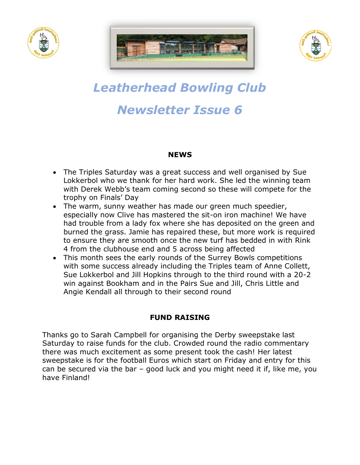





# *Leatherhead Bowling Club Newsletter Issue 6*

#### **NEWS**

- The Triples Saturday was a great success and well organised by Sue Lokkerbol who we thank for her hard work. She led the winning team with Derek Webb's team coming second so these will compete for the trophy on Finals' Day
- The warm, sunny weather has made our green much speedier, especially now Clive has mastered the sit-on iron machine! We have had trouble from a lady fox where she has deposited on the green and burned the grass. Jamie has repaired these, but more work is required to ensure they are smooth once the new turf has bedded in with Rink 4 from the clubhouse end and 5 across being affected
- This month sees the early rounds of the Surrey Bowls competitions with some success already including the Triples team of Anne Collett, Sue Lokkerbol and Jill Hopkins through to the third round with a 20-2 win against Bookham and in the Pairs Sue and Jill, Chris Little and Angie Kendall all through to their second round

### **FUND RAISING**

Thanks go to Sarah Campbell for organising the Derby sweepstake last Saturday to raise funds for the club. Crowded round the radio commentary there was much excitement as some present took the cash! Her latest sweepstake is for the football Euros which start on Friday and entry for this can be secured via the bar – good luck and you might need it if, like me, you have Finland!